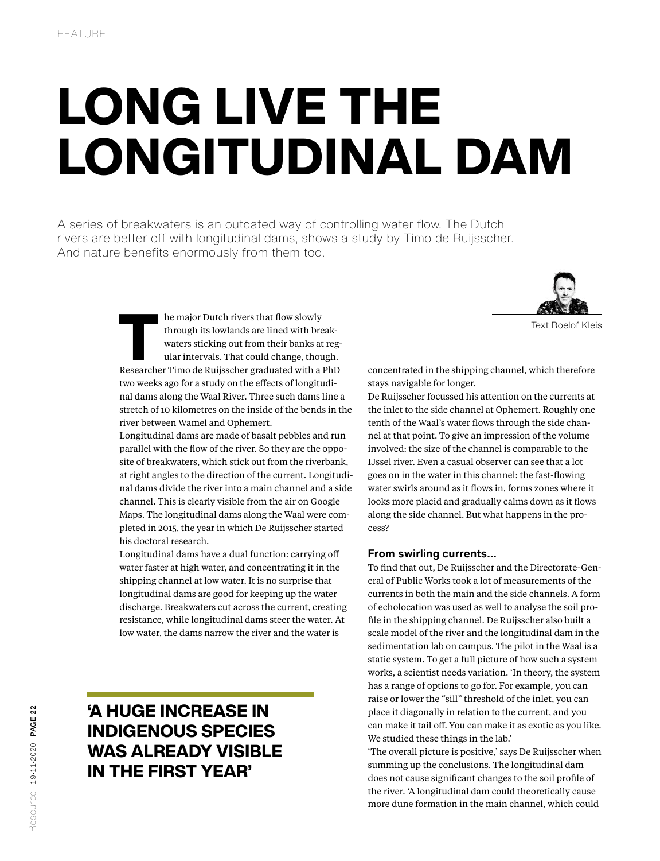## LONG LIVE THE LONGITUDINAL DAM

A series of breakwaters is an outdated way of controlling water flow. The Dutch rivers are better off with longitudinal dams, shows a study by Timo de Ruijsscher. And nature benefits enormously from them too.



Text Roelof Kleis

The major Dutch rivers that flow slowly<br>through its lowlands are lined with break-<br>waters sticking out from their banks at reg-<br>ular intervals. That could change, though.<br>Researcher Timo de Ruijsscher graduated with a PhD through its lowlands are lined with breakwaters sticking out from their banks at regular intervals. That could change, though. two weeks ago for a study on the effects of longitudinal dams along the Waal River. Three such dams line a stretch of 10 kilometres on the inside of the bends in the river between Wamel and Ophemert.

Longitudinal dams are made of basalt pebbles and run parallel with the flow of the river. So they are the opposite of breakwaters, which stick out from the riverbank, at right angles to the direction of the current. Longitudinal dams divide the river into a main channel and a side channel. This is clearly visible from the air on Google Maps. The longitudinal dams along the Waal were completed in 2015, the year in which De Ruijsscher started his doctoral research.

Longitudinal dams have a dual function: carrying off water faster at high water, and concentrating it in the shipping channel at low water. It is no surprise that longitudinal dams are good for keeping up the water discharge. Breakwaters cut across the current, creating resistance, while longitudinal dams steer the water. At low water, the dams narrow the river and the water is

## 'A HUGE INCREASE IN INDIGENOUS SPECIES WAS ALREADY VISIBLE IN THE FIRST YEAR'

concentrated in the shipping channel, which therefore stays navigable for longer.

De Ruijsscher focussed his attention on the currents at the inlet to the side channel at Ophemert. Roughly one tenth of the Waal's water flows through the side channel at that point. To give an impression of the volume involved: the size of the channel is comparable to the IJssel river. Even a casual observer can see that a lot goes on in the water in this channel: the fast-flowing water swirls around as it flows in, forms zones where it looks more placid and gradually calms down as it flows along the side channel. But what happens in the process?

## **From swirling currents…**

To find that out, De Ruijsscher and the Directorate-General of Public Works took a lot of measurements of the currents in both the main and the side channels. A form of echolocation was used as well to analyse the soil profile in the shipping channel. De Ruijsscher also built a scale model of the river and the longitudinal dam in the sedimentation lab on campus. The pilot in the Waal is a static system. To get a full picture of how such a system works, a scientist needs variation. 'In theory, the system has a range of options to go for. For example, you can raise or lower the "sill" threshold of the inlet, you can place it diagonally in relation to the current, and you can make it tail off. You can make it as exotic as you like. We studied these things in the lab.'

'The overall picture is positive,' says De Ruijsscher when summing up the conclusions. The longitudinal dam does not cause significant changes to the soil profile of the river. 'A longitudinal dam could theoretically cause more dune formation in the main channel, which could